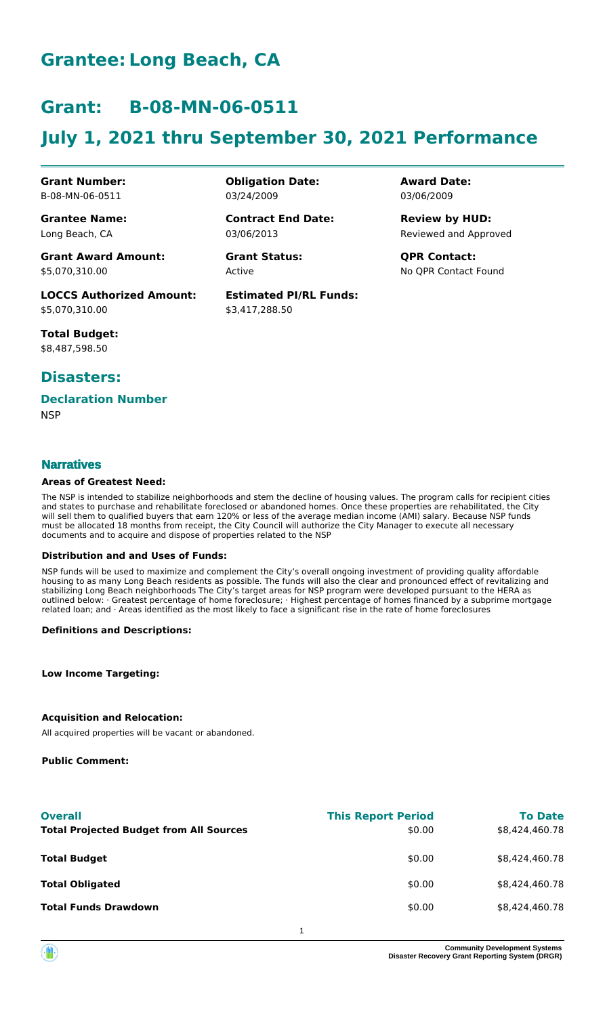## **Grantee: Long Beach, CA**

### **Grant: B-08-MN-06-0511**

# **July 1, 2021 thru September 30, 2021 Performance**

**Grant Number:** B-08-MN-06-0511

**Grantee Name:** Long Beach, CA

**Grant Award Amount:** \$5,070,310.00

**LOCCS Authorized Amount:** \$5,070,310.00

**Total Budget:** \$8,487,598.50

### **Disasters:**

### **Declaration Number**

**NSP** 

#### **Narratives**

#### **Areas of Greatest Need:**

The NSP is intended to stabilize neighborhoods and stem the decline of housing values. The program calls for recipient cities and states to purchase and rehabilitate foreclosed or abandoned homes. Once these properties are rehabilitated, the City will sell them to qualified buyers that earn 120% or less of the average median income (AMI) salary. Because NSP funds must be allocated 18 months from receipt, the City Council will authorize the City Manager to execute all necessary documents and to acquire and dispose of properties related to the NSP

#### **Distribution and and Uses of Funds:**

NSP funds will be used to maximize and complement the City's overall ongoing investment of providing quality affordable housing to as many Long Beach residents as possible. The funds will also the clear and pronounced effect of revitalizing and stabilizing Long Beach neighborhoods The City's target areas for NSP program were developed pursuant to the HERA as outlined below: · Greatest percentage of home foreclosure; · Highest percentage of homes financed by a subprime mortgage related loan; and · Areas identified as the most likely to face a significant rise in the rate of home foreclosures

**Definitions and Descriptions:**

**Low Income Targeting:**

#### **Acquisition and Relocation:**

All acquired properties will be vacant or abandoned.

**Public Comment:**

| <b>Overall</b>                                 | <b>This Report Period</b> | <b>To Date</b> |
|------------------------------------------------|---------------------------|----------------|
| <b>Total Projected Budget from All Sources</b> | \$0.00                    | \$8,424,460.78 |
| <b>Total Budget</b>                            | \$0.00                    | \$8,424,460.78 |
| <b>Total Obligated</b>                         | \$0.00                    | \$8,424,460.78 |
| <b>Total Funds Drawdown</b>                    | \$0.00                    | \$8.424.460.78 |
|                                                |                           |                |

1



**Obligation Date:** 03/24/2009

03/06/2013 **Contract End Date:**

Active **Grant Status: QPR Contact:**

**Estimated PI/RL Funds:** \$3,417,288.50

**Award Date:** 03/06/2009

Reviewed and Approved **Review by HUD:**

No QPR Contact Found